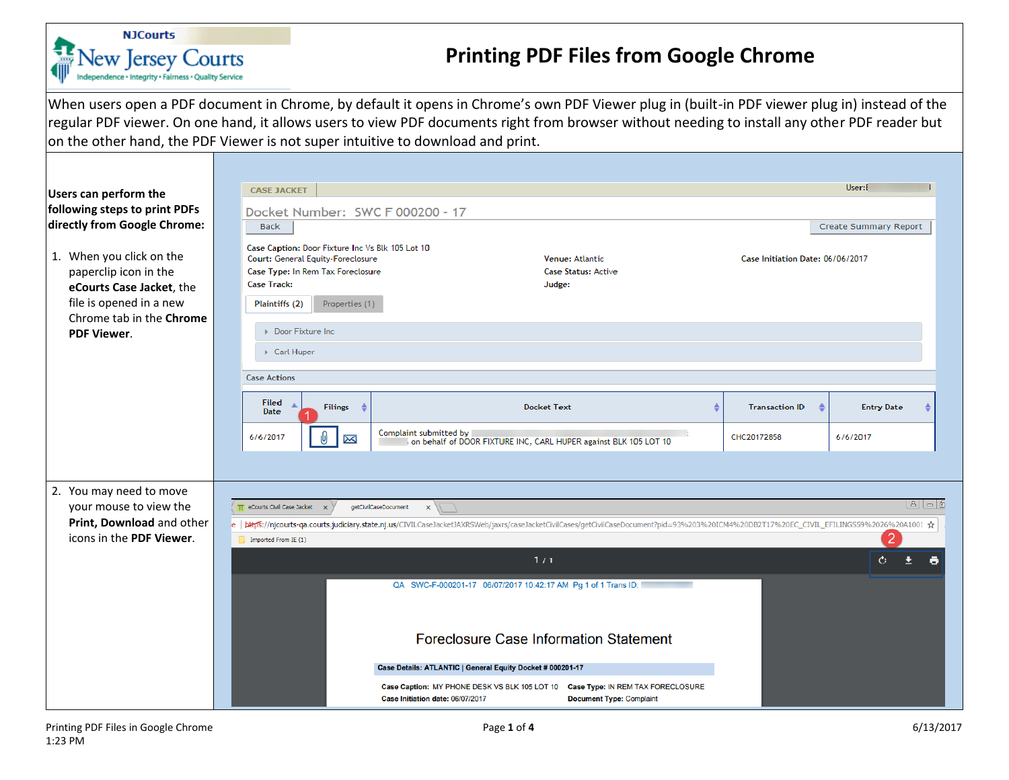

## **Printing PDF Files from Google Chrome**

When users open a PDF document in Chrome, by default it opens in Chrome's own PDF Viewer plug in (built-in PDF viewer plug in) instead of the regular PDF viewer. On one hand, it allows users to view PDF documents right from browser without needing to install any other PDF reader but on the other hand, the PDF Viewer is not super intuitive to download and print.

| Users can perform the                                                                                                                | User:E<br><b>CASE JACKET</b>                                                                                                                                                                                                                                                        |            |  |  |  |  |
|--------------------------------------------------------------------------------------------------------------------------------------|-------------------------------------------------------------------------------------------------------------------------------------------------------------------------------------------------------------------------------------------------------------------------------------|------------|--|--|--|--|
| following steps to print PDFs                                                                                                        | Docket Number: SWC F 000200 - 17                                                                                                                                                                                                                                                    |            |  |  |  |  |
| directly from Google Chrome:                                                                                                         | <b>Back</b><br>Create Summary Report                                                                                                                                                                                                                                                |            |  |  |  |  |
| 1. When you click on the<br>paperclip icon in the<br>eCourts Case Jacket, the<br>file is opened in a new<br>Chrome tab in the Chrome | Case Caption: Door Fixture Inc Vs Blk 105 Lot 10<br>Court: General Equity-Foreclosure<br>Venue: Atlantic<br>Case Initiation Date: 06/06/2017<br>Case Type: In Rem Tax Foreclosure<br><b>Case Status: Active</b><br><b>Case Track:</b><br>Judge:<br>Plaintiffs (2)<br>Properties (1) |            |  |  |  |  |
| <b>PDF Viewer.</b>                                                                                                                   | Door Fixture Inc                                                                                                                                                                                                                                                                    |            |  |  |  |  |
| Carl Huper                                                                                                                           |                                                                                                                                                                                                                                                                                     |            |  |  |  |  |
|                                                                                                                                      | <b>Case Actions</b>                                                                                                                                                                                                                                                                 |            |  |  |  |  |
|                                                                                                                                      | Filed<br><b>Filings</b><br><b>Docket Text</b><br><b>Entry Date</b><br><b>Transaction ID</b><br>Date                                                                                                                                                                                 |            |  |  |  |  |
|                                                                                                                                      | Complaint submitted by<br>CHC20172858<br>6/6/2017<br>6/6/2017<br>X<br>on behalf of DOOR FIXTURE INC, CARL HUPER against BLK 105 LOT 10                                                                                                                                              |            |  |  |  |  |
|                                                                                                                                      |                                                                                                                                                                                                                                                                                     |            |  |  |  |  |
| 2. You may need to move                                                                                                              | eCourts Civil Case Jacket X<br>getCivilCaseDocument                                                                                                                                                                                                                                 | 0   م   (8 |  |  |  |  |
| your mouse to view the<br>Print, Download and other                                                                                  | $\times$<br>e   https://njcourts-ga.courts.judiciary.state.nj.us/CIVILCaseJacketJAXRSWeb/jaxrs/caseJacketCivilCases/getCivilCaseDocument?pid=93%203%20ICM4%20DB2T17%20EC_CIVIL_EFILINGS59%2026%20A1001 ☆                                                                            |            |  |  |  |  |
| icons in the PDF Viewer.                                                                                                             | Imported From IE (1)                                                                                                                                                                                                                                                                |            |  |  |  |  |
| 1/1                                                                                                                                  |                                                                                                                                                                                                                                                                                     |            |  |  |  |  |
|                                                                                                                                      | QA SWC-F-000201-17 06/07/2017 10:42:17 AM Pg 1 of 1 Trans ID:                                                                                                                                                                                                                       |            |  |  |  |  |
|                                                                                                                                      | Foreclosure Case Information Statement                                                                                                                                                                                                                                              |            |  |  |  |  |
| Case Details: ATLANTIC   General Equity Docket # 000201-17                                                                           |                                                                                                                                                                                                                                                                                     |            |  |  |  |  |
|                                                                                                                                      | Case Caption: MY PHONE DESK VS BLK 105 LOT 10 Case Type: IN REM TAX FORECLOSURE<br><b>Document Type: Complaint</b><br>Case Initiation date: 06/07/2017                                                                                                                              |            |  |  |  |  |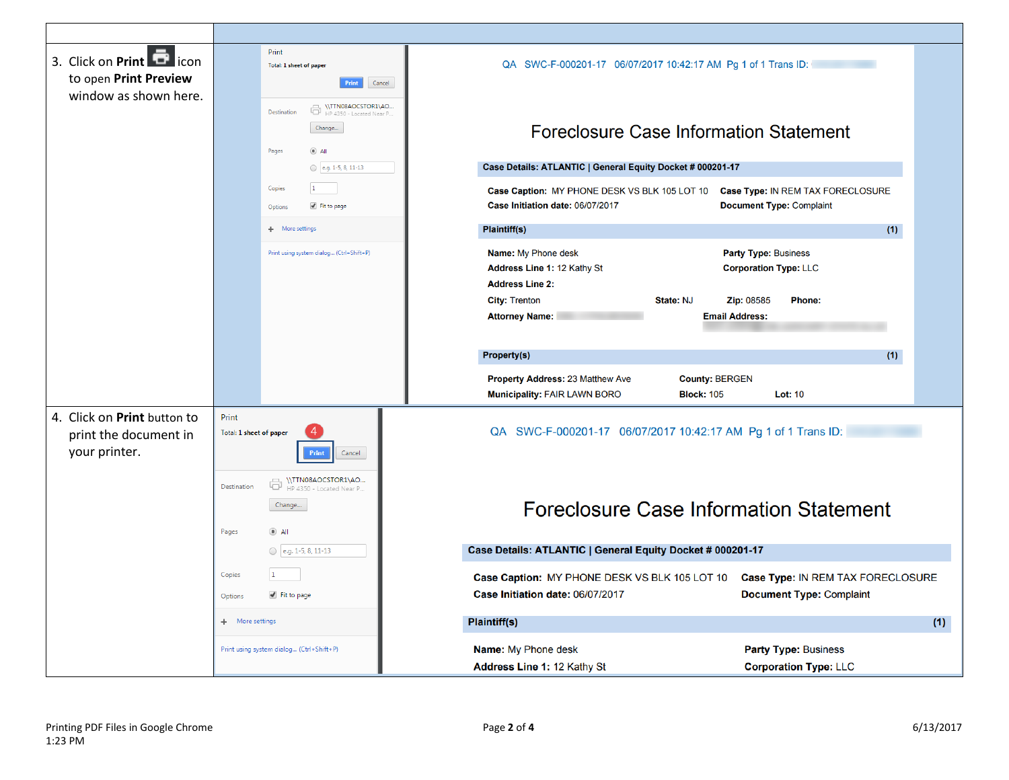| 3. Click on Print <b>D</b> icon<br>to open Print Preview              | Print<br>Total: 1 sheet of paper<br>Print<br>Cancel                                                   | QA SWC-F-000201-17 06/07/2017 10:42:17 AM Pg 1 of 1 Trans ID:                                                                                             |
|-----------------------------------------------------------------------|-------------------------------------------------------------------------------------------------------|-----------------------------------------------------------------------------------------------------------------------------------------------------------|
| window as shown here.                                                 | WTTN08AOCSTOR1\AO<br>HP 4350 - Located Near P<br>Destination<br>Change<br>$\circledcirc$ All<br>Pages | Foreclosure Case Information Statement                                                                                                                    |
|                                                                       | e.g. 1-5, 8, 11-13                                                                                    | Case Details: ATLANTIC   General Equity Docket # 000201-17                                                                                                |
|                                                                       | $\vert$ 1<br>Copies<br>Fit to page<br>Option:                                                         | Case Type: IN REM TAX FORECLOSURE<br>Case Caption: MY PHONE DESK VS BLK 105 LOT 10<br>Case Initiation date: 06/07/2017<br><b>Document Type: Complaint</b> |
|                                                                       | More settings<br>÷.                                                                                   | (1)<br>Plaintiff(s)                                                                                                                                       |
|                                                                       | Print using system dialog (Ctrl+Shift+P)                                                              | Name: My Phone desk<br><b>Party Type: Business</b><br><b>Corporation Type: LLC</b><br>Address Line 1: 12 Kathy St<br><b>Address Line 2:</b>               |
|                                                                       |                                                                                                       | State: NJ<br><b>City: Trenton</b><br><b>Zip: 08585</b><br>Phone:<br><b>Attorney Name:</b><br><b>Email Address:</b>                                        |
|                                                                       |                                                                                                       |                                                                                                                                                           |
|                                                                       |                                                                                                       | <b>Property(s)</b><br>(1)                                                                                                                                 |
|                                                                       |                                                                                                       | Property Address: 23 Matthew Ave<br><b>County: BERGEN</b><br>Municipality: FAIR LAWN BORO<br><b>Block: 105</b><br><b>Lot: 10</b>                          |
| 4. Click on Print button to<br>print the document in<br>your printer. | Print<br>Total: 1 sheet of paper<br>Print<br>Cancel                                                   | QA SWC-F-000201-17 06/07/2017 10:42:17 AM Pg 1 of 1 Trans ID:                                                                                             |
|                                                                       | WITN08AOCSTOR1\AO<br>Destination<br>HP 4350 - Located Near P<br>Change<br>$\odot$ All<br>Pages        | <b>Foreclosure Case Information Statement</b>                                                                                                             |
|                                                                       | e.g. 1-5, 8, 11-13                                                                                    | Case Details: ATLANTIC   General Equity Docket # 000201-17                                                                                                |
|                                                                       | Copies<br>$\vert$ 1                                                                                   | Case Type: IN REM TAX FORECLOSURE<br>Case Caption: MY PHONE DESK VS BLK 105 LOT 10                                                                        |
|                                                                       | ✔ Fit to page<br>Options                                                                              | Case Initiation date: 06/07/2017<br><b>Document Type: Complaint</b>                                                                                       |
|                                                                       | More settings<br>÷.                                                                                   | Plaintiff(s)<br>(1)                                                                                                                                       |
|                                                                       | Print using system dialog (Ctrl+Shift+P)                                                              | Name: My Phone desk<br><b>Party Type: Business</b><br>Address Line 1: 12 Kathy St<br><b>Corporation Type: LLC</b>                                         |

- IT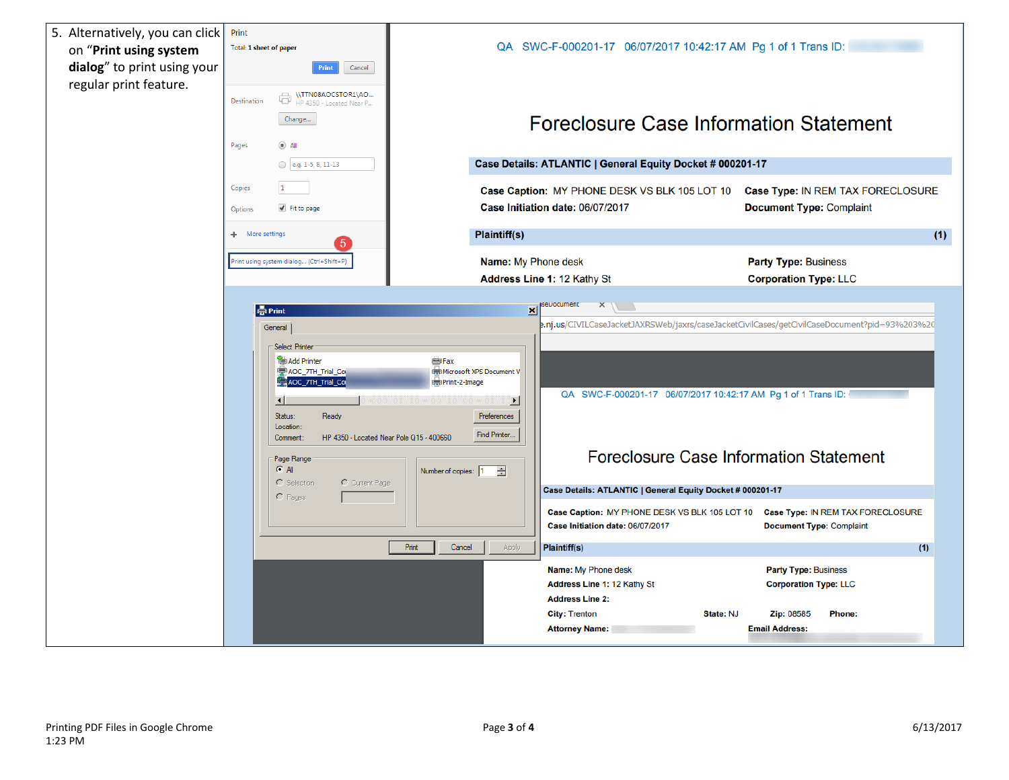| 5. Alternatively, you can click<br>on "Print using system<br>dialog" to print using your<br>regular print feature. | Print<br>Total: 1 sheet of paper<br>Print<br>Cancel<br>\\TTN08AOCSTOR1\AO<br>6<br>Destination<br>HP 4350 - Located Near P<br>Change<br>Pages<br>$\bullet$ All<br>e.g. 1-5, 8, 11-13                                                          | QA SWC-F-000201-17 06/07/2017 10:42:17 AM Pg 1 of 1 Trans ID:<br>Case Details: ATLANTIC   General Equity Docket # 000201-17                                                                                                                                                                                                                                                                                                                                                                                               | <b>Foreclosure Case Information Statement</b>                                                                                                                                                                                                                                                                                                                                                                                                   |
|--------------------------------------------------------------------------------------------------------------------|----------------------------------------------------------------------------------------------------------------------------------------------------------------------------------------------------------------------------------------------|---------------------------------------------------------------------------------------------------------------------------------------------------------------------------------------------------------------------------------------------------------------------------------------------------------------------------------------------------------------------------------------------------------------------------------------------------------------------------------------------------------------------------|-------------------------------------------------------------------------------------------------------------------------------------------------------------------------------------------------------------------------------------------------------------------------------------------------------------------------------------------------------------------------------------------------------------------------------------------------|
|                                                                                                                    | $\vert$ 1<br>Copies<br>Fit to page<br>Options                                                                                                                                                                                                | Case Caption: MY PHONE DESK VS BLK 105 LOT 10<br>Case Initiation date: 06/07/2017                                                                                                                                                                                                                                                                                                                                                                                                                                         | Case Type: IN REM TAX FORECLOSURE<br><b>Document Type: Complaint</b>                                                                                                                                                                                                                                                                                                                                                                            |
|                                                                                                                    | More settings<br>÷.                                                                                                                                                                                                                          | <b>Plaintiff(s)</b>                                                                                                                                                                                                                                                                                                                                                                                                                                                                                                       | (1)                                                                                                                                                                                                                                                                                                                                                                                                                                             |
|                                                                                                                    | rint using system dialog (Ctrl+Shift+P)                                                                                                                                                                                                      | Name: My Phone desk<br>Address Line 1: 12 Kathy St                                                                                                                                                                                                                                                                                                                                                                                                                                                                        | <b>Party Type: Business</b><br><b>Corporation Type: LLC</b>                                                                                                                                                                                                                                                                                                                                                                                     |
|                                                                                                                    | - Print<br>General<br>Select Printer<br>Add Printer<br>AOC_7TH_Trial_Co<br>AOC_7TH_Trial_Co<br>$\left  \cdot \right $<br>Status:<br>Ready<br>Location:<br>Comment<br>Page Range<br><b>CAI</b><br>C Selection<br>C Current Page<br>$C$ Pages: | ×<br>×<br><b>S</b> Fax<br><b>Microsoft XPS Document V</b><br>Print-2-Image<br>Preferences<br>Find Printer.<br>HP 4350 - Located Near Pole Q15 - 400660<br>록<br>Number of copies: 1<br>Case Details: ATLANTIC   General Equity Docket # 000201-17<br>Case Caption: MY PHONE DESK VS BLK 105 LOT 10<br>Case Initiation date: 06/07/2017<br>Print<br>Cancel<br>Apply<br><b>Plaintiff(s)</b><br>Name: My Phone desk<br>Address Line 1: 12 Kathy St<br><b>Address Line 2:</b><br><b>City: Trenton</b><br><b>Attorney Name:</b> | .nj.us/CIVILCaseJacketJAXRSWeb/jaxrs/caseJacketCivilCases/getCivilCaseDocument?pid=93%203%20<br>QA SWC-F-000201-17 06/07/2017 10:42:17 AM Pg 1 of 1 Trans ID:<br><b>Foreclosure Case Information Statement</b><br>Case Type: IN REM TAX FORECLOSURE<br><b>Document Type: Complaint</b><br>(1)<br><b>Party Type: Business</b><br><b>Corporation Type: LLC</b><br><b>State: NJ</b><br><b>Zip: 08585</b><br><b>Phone:</b><br><b>Email Address:</b> |